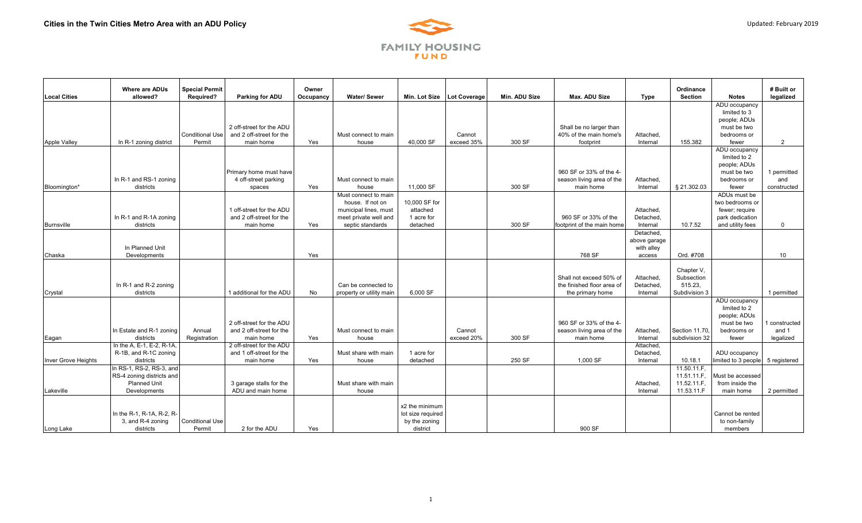

| <b>Local Cities</b>        | Where are ADUs<br>allowed?      | <b>Special Permit</b><br>Required? | Parking for ADU                                       | Owner<br>Occupancy | <b>Water/Sewer</b>       | Min. Lot Size     | <b>Lot Coverage</b> | Min. ADU Size | Max. ADU Size                                        | <b>Type</b>          | Ordinance<br><b>Section</b> | <b>Notes</b>                     | # Built or<br>legalized |
|----------------------------|---------------------------------|------------------------------------|-------------------------------------------------------|--------------------|--------------------------|-------------------|---------------------|---------------|------------------------------------------------------|----------------------|-----------------------------|----------------------------------|-------------------------|
|                            |                                 |                                    |                                                       |                    |                          |                   |                     |               |                                                      |                      |                             | ADU occupancy                    |                         |
|                            |                                 |                                    |                                                       |                    |                          |                   |                     |               |                                                      |                      |                             | limited to 3<br>people; ADUs     |                         |
|                            |                                 |                                    | 2 off-street for the ADU                              |                    |                          |                   |                     |               | Shall be no larger than                              |                      |                             | must be two                      |                         |
|                            |                                 | <b>Conditional Use</b>             | and 2 off-street for the                              |                    | Must connect to main     |                   | Cannot              |               | 40% of the main home's                               | Attached,            |                             | bedrooms or                      |                         |
| <b>Apple Valley</b>        | In R-1 zoning district          | Permit                             | main home                                             | Yes                | house                    | 40,000 SF         | exceed 35%          | 300 SF        | footprint                                            | Internal             | 155.382                     | fewer                            | $\overline{2}$          |
|                            |                                 |                                    |                                                       |                    |                          |                   |                     |               |                                                      |                      |                             | ADU occupancy                    |                         |
|                            |                                 |                                    |                                                       |                    |                          |                   |                     |               |                                                      |                      |                             | limited to 2                     |                         |
|                            |                                 |                                    |                                                       |                    |                          |                   |                     |               |                                                      |                      |                             | people; ADUs                     |                         |
|                            | In R-1 and RS-1 zoning          |                                    | <b>Primary home must have</b><br>4 off-street parking |                    | Must connect to main     |                   |                     |               | 960 SF or 33% of the 4-<br>season living area of the | Attached,            |                             | must be two<br>bedrooms or       | 1 permitted<br>and      |
| Bloomington*               | districts                       |                                    | spaces                                                | Yes                | house                    | 11,000 SF         |                     | 300 SF        | main home                                            | Internal             | § 21.302.03                 | fewer                            | constructed             |
|                            |                                 |                                    |                                                       |                    | Must connect to main     |                   |                     |               |                                                      |                      |                             | ADUs must be                     |                         |
|                            |                                 |                                    |                                                       |                    | house. If not on         | 10.000 SF for     |                     |               |                                                      |                      |                             | two bedrooms or                  |                         |
|                            |                                 |                                    | 1 off-street for the ADU                              |                    | municipal lines, must    | attached          |                     |               |                                                      | Attached.            |                             | fewer; require                   |                         |
|                            | In R-1 and R-1A zoning          |                                    | and 2 off-street for the                              |                    | meet private well and    | 1 acre for        |                     |               | 960 SF or 33% of the                                 | Detached,            |                             | park dedication                  |                         |
| Burnsville                 | districts                       |                                    | main home                                             | Yes                | septic standards         | detached          |                     | 300 SF        | footprint of the main home                           | Internal             | 10.7.52                     | and utility fees                 | $\mathbf 0$             |
|                            |                                 |                                    |                                                       |                    |                          |                   |                     |               |                                                      | Detached.            |                             |                                  |                         |
|                            |                                 |                                    |                                                       |                    |                          |                   |                     |               |                                                      | above garage         |                             |                                  |                         |
| Chaska                     | In Planned Unit<br>Developments |                                    |                                                       | Yes                |                          |                   |                     |               | 768 SF                                               | with alley<br>access | Ord. #708                   |                                  | 10                      |
|                            |                                 |                                    |                                                       |                    |                          |                   |                     |               |                                                      |                      |                             |                                  |                         |
|                            |                                 |                                    |                                                       |                    |                          |                   |                     |               |                                                      |                      | Chapter V.                  |                                  |                         |
|                            |                                 |                                    |                                                       |                    |                          |                   |                     |               | Shall not exceed 50% of                              | Attached,            | Subsection                  |                                  |                         |
|                            | In R-1 and R-2 zoning           |                                    |                                                       |                    | Can be connected to      |                   |                     |               | the finished floor area of                           | Detached,            | 515.23,                     |                                  |                         |
| Crystal                    | districts                       |                                    | 1 additional for the ADU                              | <b>No</b>          | property or utility main | 6,000 SF          |                     |               | the primary home                                     | Internal             | Subdivision 3               |                                  | 1 permitted             |
|                            |                                 |                                    |                                                       |                    |                          |                   |                     |               |                                                      |                      |                             | ADU occupancy                    |                         |
|                            |                                 |                                    |                                                       |                    |                          |                   |                     |               |                                                      |                      |                             | limited to 2                     |                         |
|                            |                                 |                                    | 2 off-street for the ADU                              |                    |                          |                   |                     |               | 960 SF or 33% of the 4-                              |                      |                             | people; ADUs<br>must be two      |                         |
|                            | In Estate and R-1 zoning        | Annual                             | and 2 off-street for the                              |                    | Must connect to main     |                   | Cannot              |               | season living area of the                            | Attached,            | Section 11.70,              | bedrooms or                      | 1 constructed<br>and 1  |
| Eagan                      | districts                       | Registration                       | main home                                             | Yes                | house                    |                   | exceed 20%          | 300 SF        | main home                                            | Internal             | subdivision 32              | fewer                            | legalized               |
|                            | In the A. E-1, E-2, R-1A.       |                                    | 2 off-street for the ADU                              |                    |                          |                   |                     |               |                                                      | Attached,            |                             |                                  |                         |
|                            | R-1B, and R-1C zoning           |                                    | and 1 off-street for the                              |                    | Must share with main     | 1 acre for        |                     |               |                                                      | Detached,            |                             | ADU occupancy                    |                         |
| <b>Inver Grove Heights</b> | districts                       |                                    | main home                                             | Yes                | house                    | detached          |                     | 250 SF        | 1.000 SF                                             | Internal             | 10.18.1                     | limited to 3 people 5 registered |                         |
|                            | In RS-1, RS-2, RS-3, and        |                                    |                                                       |                    |                          |                   |                     |               |                                                      |                      | 11.50.11.F.                 |                                  |                         |
|                            | RS-4 zoning districts and       |                                    |                                                       |                    |                          |                   |                     |               |                                                      |                      | 11.51.11.F.                 | Must be accessed                 |                         |
|                            | <b>Planned Unit</b>             |                                    | 3 garage stalls for the                               |                    | Must share with main     |                   |                     |               |                                                      | Attached,            | 11.52.11.F.                 | from inside the                  |                         |
| Lakeville                  | Developments                    |                                    | ADU and main home                                     |                    | house                    |                   |                     |               |                                                      | Internal             | 11.53.11.F                  | main home                        | 2 permitted             |
|                            |                                 |                                    |                                                       |                    |                          | x2 the minimum    |                     |               |                                                      |                      |                             |                                  |                         |
|                            | In the R-1, R-1A, R-2, R-       |                                    |                                                       |                    |                          | lot size required |                     |               |                                                      |                      |                             | Cannot be rented                 |                         |
|                            | 3, and R-4 zoning               | <b>Conditional Use</b>             |                                                       |                    |                          | by the zoning     |                     |               |                                                      |                      |                             | to non-family                    |                         |
| Long Lake                  | districts                       | Permit                             | 2 for the ADU                                         | Yes                |                          | district          |                     |               | 900 SF                                               |                      |                             | members                          |                         |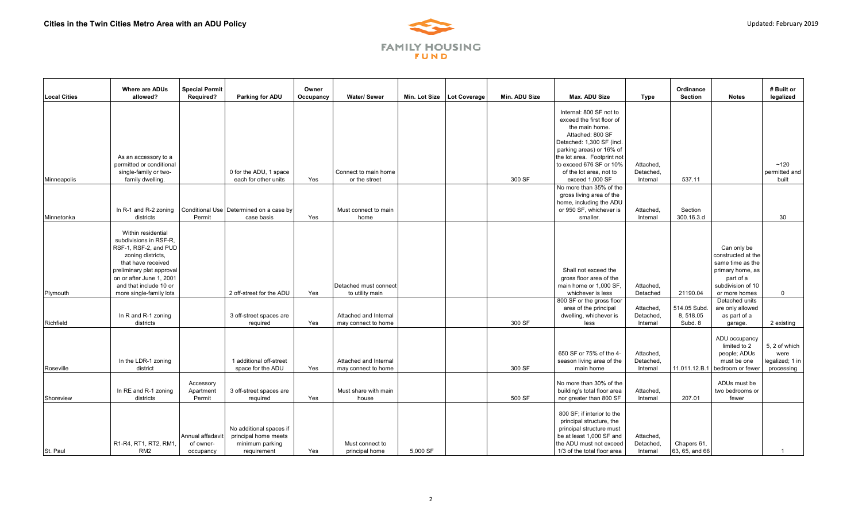

| <b>Local Cities</b> | <b>Where are ADUs</b><br>allowed?                                                                                                                                                                                              | <b>Special Permit</b><br><b>Required?</b>  | Parking for ADU                                                                   | Owner<br>Occupancy | <b>Water/Sewer</b>                           | Min. Lot Size   Lot Coverage | Min. ADU Size | Max. ADU Size                                                                                                                                                                                                                                               | <b>Type</b>                        | Ordinance<br><b>Section</b>         | <b>Notes</b>                                                                                                                 | # Built or<br>legalized                                |
|---------------------|--------------------------------------------------------------------------------------------------------------------------------------------------------------------------------------------------------------------------------|--------------------------------------------|-----------------------------------------------------------------------------------|--------------------|----------------------------------------------|------------------------------|---------------|-------------------------------------------------------------------------------------------------------------------------------------------------------------------------------------------------------------------------------------------------------------|------------------------------------|-------------------------------------|------------------------------------------------------------------------------------------------------------------------------|--------------------------------------------------------|
| <b>Minneapolis</b>  | As an accessory to a<br>permitted or conditional<br>single-family or two-<br>family dwelling.                                                                                                                                  |                                            | 0 for the ADU, 1 space<br>each for other units                                    | Yes                | Connect to main home<br>or the street        |                              | 300 SF        | Internal: 800 SF not to<br>exceed the first floor of<br>the main home.<br>Attached: 800 SF<br>Detached: 1,300 SF (incl.<br>parking areas) or 16% of<br>the lot area. Footprint not<br>to exceed 676 SF or 10%<br>of the lot area, not to<br>exceed 1,000 SF | Attached,<br>Detached,<br>Internal | 537.11                              |                                                                                                                              | ~120<br>permitted and<br>built                         |
| Minnetonka          | In R-1 and R-2 zoning<br>districts                                                                                                                                                                                             | Permit                                     | Conditional Use Determined on a case by<br>case basis                             | Yes                | Must connect to main<br>home                 |                              |               | No more than 35% of the<br>gross living area of the<br>home, including the ADU<br>or 950 SF, whichever is<br>smaller.                                                                                                                                       | Attached,<br>Internal              | Section<br>300.16.3.d               |                                                                                                                              | 30                                                     |
| Plymouth            | Within residential<br>subdivisions in RSF-R.<br>RSF-1, RSF-2, and PUD<br>zoning districts,<br>that have received<br>preliminary plat approval<br>on or after June 1, 2001<br>and that include 10 or<br>more single-family lots |                                            | 2 off-street for the ADU                                                          | Yes                | Detached must connect<br>to utility main     |                              |               | Shall not exceed the<br>gross floor area of the<br>main home or 1,000 SF,<br>whichever is less                                                                                                                                                              | Attached.<br>Detached              | 21190.04                            | Can only be<br>constructed at the<br>same time as the<br>primary home, as<br>part of a<br>subdivision of 10<br>or more homes | $\mathbf 0$                                            |
| Richfield           | In R and R-1 zoning<br>districts                                                                                                                                                                                               |                                            | 3 off-street spaces are<br>required                                               | Yes                | Attached and Internal<br>may connect to home |                              | 300 SF        | 800 SF or the gross floor<br>area of the principal<br>dwelling, whichever is<br>less                                                                                                                                                                        | Attached,<br>Detached,<br>Internal | 514.05 Subd.<br>8,518.05<br>Subd, 8 | Detached units<br>are only allowed<br>as part of a<br>garage.                                                                | 2 existing                                             |
| Roseville           | In the LDR-1 zoning<br>district                                                                                                                                                                                                |                                            | 1 additional off-street<br>space for the ADU                                      | Yes                | Attached and Internal<br>may connect to home |                              | 300 SF        | 650 SF or 75% of the 4-<br>season living area of the<br>main home                                                                                                                                                                                           | Attached,<br>Detached,<br>Internal | 11.011.12.B.1                       | ADU occupancy<br>limited to 2<br>people; ADUs<br>must be one<br>bedroom or fewer                                             | 5, 2 of which<br>were<br>legalized; 1 in<br>processing |
| Shoreview           | In RE and R-1 zoning<br>districts                                                                                                                                                                                              | Accessory<br>Apartment<br>Permit           | 3 off-street spaces are<br>required                                               | Yes                | Must share with main<br>house                |                              | 500 SF        | No more than 30% of the<br>building's total floor area<br>nor greater than 800 SF                                                                                                                                                                           | Attached,<br>Internal              | 207.01                              | ADUs must be<br>two bedrooms or<br>fewer                                                                                     |                                                        |
| St. Paul            | R1-R4, RT1, RT2, RM1,<br>RM <sub>2</sub>                                                                                                                                                                                       | Annual affadavit<br>of owner-<br>occupancy | No additional spaces if<br>principal home meets<br>minimum parking<br>requirement | Yes                | Must connect to<br>principal home            | 5,000 SF                     |               | 800 SF; if interior to the<br>principal structure, the<br>principal structure must<br>be at least 1,000 SF and<br>the ADU must not exceed<br>1/3 of the total floor area                                                                                    | Attached,<br>Detached,<br>Internal | Chapers 61.<br>63, 65, and 66       |                                                                                                                              |                                                        |